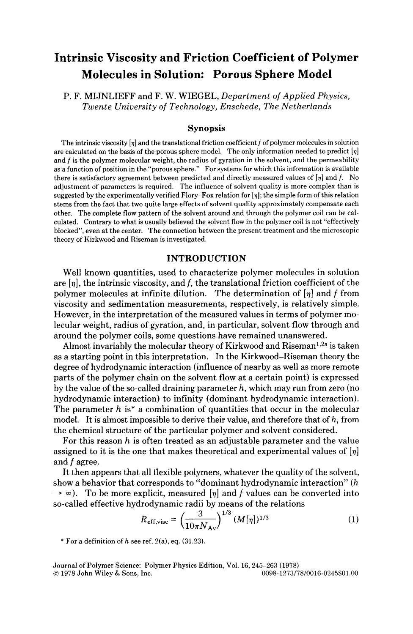# **Intrinsic Viscosity and Friction Coefficient of Polymer Molecules in Solution: Porous Sphere Model**

P. F. MIJNLIEFF and F. W. WIEGEL, *Department of Applied Physics, Twente University of Technology, Enschede, The Netherlands* 

#### **Synopsis**

The intrinsic viscosity  $[\eta]$  and the translational friction coefficient f of polymer molecules in solution are calculated on the basis of the porous sphere model. The only information needed to predict *[q]*  and f is the polymer molecular weight, the radius of gyration in the solvent, and the permeability as a function of position in the "porous sphere." For systems for which this information is available there is satisfactory agreement between predicted and directly measured values of *[q]* and *f.* No adjustment of parameters is required. The influence of solvent quality is more complex than is suggested by the experimentally verified Flory-Fox relation for  $[\eta]$ ; the simple form of this relation stems from the fact that two quite large effects of solvent quality approximately compensate each other. The complete flow pattern of the solvent around and through the polymer coil can be calculated. Contrary to what is usually believed the solvent flow in the polymer coil is not "effectively blocked", even at the center. The connection between the present treatment and the microscopic theory of Kirkwood and Riseman is investigated.

## **INTRODUCTION**

Well known quantities, used to characterize polymer molecules in solution are *[q],* the intrinsic viscosity, and *f,* the translational friction coefficient of the polymer molecules at infinite dilution. The determination of  $\eta$  and *f* from viscosity and sedimentation measurements, respectively, is relatively simple. However, in the interpretation of the measured values in terms of polymer molecular weight, radius of gyration, and, in particular, solvent flow through and around the polymer coils, some questions have remained unanswered.

Almost invariably the molecular theory of Kirkwood and Riseman<sup>1,2a</sup> is taken as a starting point in this interpretation. In the Kirkwood-Riseman theory the degree of hydrodynamic interaction (influence of nearby as well as more remote parts of the polymer chain on the solvent flow at a certain point) is expressed by the value of the so-called draining parameter *h,* which may run from zero (no hydrodynamic interaction) to infinity (dominant hydrodynamic interaction). The parameter *h* is\* a combination of quantities that occur in the molecular model. It is almost impossible to derive their value, and therefore that of *h,* from the chemical structure of the particular polymer and solvent considered.

For this reason *h* is often treated as an adjustable parameter and the value assigned to it is the one that makes theoretical and experimental values of *[q]*  and *f* agree.

It then appears that all flexible polymers, whatever the quality of the solvent, show a behavior that corresponds to "dominant hydrodynamic interaction" *(h*   $\rightarrow \infty$ ). To be more explicit, measured  $[\eta]$  and f values can be converted into so-called effective hydrodynamic radii by means of the relations

$$
R_{\rm eff, visc} = \left(\frac{3}{10\pi N_{\rm Av}}\right)^{1/3} (M[\eta])^{1/3} \tag{1}
$$

 $*$  For a definition of *h* see ref. 2(a), eq. (31.23).

Journal of Polymer Science: Polymer Physics Edition, Vol. 16, 245–263 (1978)<br>© 1978 John Wiley & Sons, Inc. 0098-1273/78/0016-0245\$01.00  $© 1978 John Wiley & Sons, Inc.$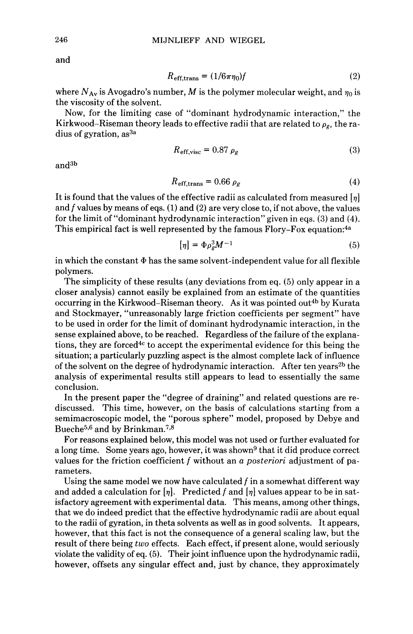and

$$
R_{\text{eff,trans}} = (1/6\pi\eta_0)f\tag{2}
$$

where  $N_{Av}$  is Avogadro's number, M is the polymer molecular weight, and  $\eta_0$  is the viscosity of the solvent.

Now, for the limiting case of "dominant hydrodynamic interaction," the Kirkwood–Riseman theory leads to effective radii that are related to  $\rho_{g}$ , the radius of gyration, as<sup>3a</sup>

$$
R_{\text{eff,visc}} = 0.87 \, \rho_g \tag{3}
$$

and3b

$$
R_{\text{eff,trans}} = 0.66 \,\rho_g \tag{4}
$$

It is found that the values of the effective radii as calculated from measured *[q]*  and *f* values by means of eqs. (1) and **(2)** are very close to, if not above, the values for the limit of "dominant hydrodynamic interaction" given in eqs. **(3)** and **(4).**  This empirical fact is well represented by the famous Flory-Fox equation:<sup>4a</sup>

$$
[\eta] = \Phi \rho_g^3 M^{-1} \tag{5}
$$

in which the constant  $\Phi$  has the same solvent-independent value for all flexible polymers.

The simplicity of these results (any deviations from eq. (5) only appear in a closer analysis) cannot easily be explained from an estimate of the quantities occurring in the Kirkwood–Riseman theory. As it was pointed out<sup>4b</sup> by Kurata and Stockmayer, "unreasonably large friction coefficients per segment" have to be used in order for the limit of dominant hydrodynamic interaction, in the sense explained above, to be reached. Regardless of the failure of the explanations, they are forced<sup>4c</sup> to accept the experimental evidence for this being the situation; a particularly puzzling aspect is the almost complete lack of influence of the solvent on the degree of hydrodynamic interaction. After ten years<sup>2b</sup> the analysis of experimental results still appears to lead to essentially the same conclusion.

In the present paper the "degree of draining" and related questions are rediscussed. This time, however, on the basis of calculations starting from a semimacroscopic model, the "porous sphere" model, proposed by Debye and Bueche<sup>5,6</sup> and by Brinkman.<sup>7,8</sup>

**For** reasons explained below, this model was not used or further evaluated for a long time. Some years ago, however, it was shown<sup>9</sup> that it did produce correct values for the friction coefficient *f* without an *a posteriori* adjustment of parameters.

Using the same model we now have calculated *f* in a somewhat different way and added a calculation for  $[\eta]$ . Predicted f and  $[\eta]$  values appear to be in satisfactory agreement with experimental data. This means, among other things, that we do indeed predict that the effective hydrodynamic radii are about equal to the radii of gyration, in theta solvents as well as in good solvents. It appears, however, that this fact is not the consequence of a general scaling law, but the result of there being *two* effects. Each effect, if present alone, would seriously violate the validity of eq. (5). Their joint influence upon the hydrodynamic radii, however, offsets any singular effect and, just by chance, they approximately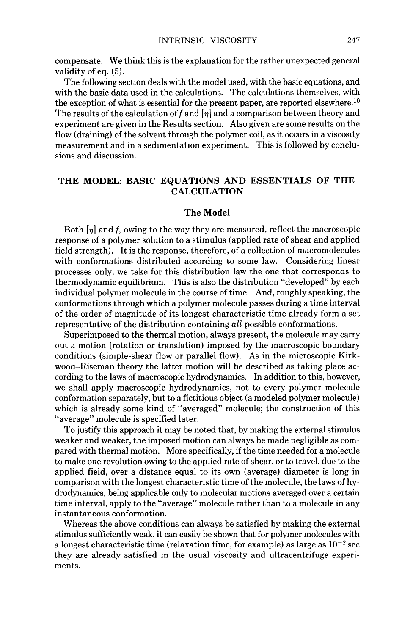compensate. We think this is the explanation for the rather unexpected general validity of eq. (5).

The following section deals with the model used, with the basic equations, and with the basic data used in the calculations. The calculations themselves, with the exception of what is essential for the present paper, are reported elsewhere.<sup>10</sup> The results of the calculation of f and  $\eta$  and a comparison between theory and experiment are given in the Results section. Also given are some results on the flow (draining) of the solvent through the polymer coil, as it occurs in a viscosity measurement and in a sedimentation experiment. This is followed by conclusions and discussion.

# **THE MODEL: BASIC EQUATIONS AND ESSENTIALS OF THE CALCULATION**

#### **The Model**

Both  $\eta$  and f, owing to the way they are measured, reflect the macroscopic response of a polymer solution to a stimulus (applied rate of shear and applied field strength). It is the response, therefore, of a collection of macromolecules with conformations distributed according to some law. Considering linear processes only, we take for this distribution law the one that corresponds to thermodynamic equilibrium. This is also the distribution "developed" by each individual polymer molecule in the course of time. And, roughly speaking, the conformations through which a polymer molecule passes during a time interval of the order of magnitude **of** its longest characteristic time already form a set representative of the distribution containing *all* possible conformations.

Superimposed to the thermal motion, always present, the molecule may carry out a motion (rotation or translation) imposed by the macroscopic boundary conditions (simple-shear flow or parallel flow). As in the microscopic Kirkwood-Riseman theory the latter motion will be described as taking place according to the laws of macroscopic hydrodynamics. In addition to this, however, we shall apply macroscopic hydrodynamics, not to every polymer molecule conformation separately, but to a fictitious object (a modeled polymer molecule) which is already some kind of "averaged" molecule; the construction of this "average" molecule is specified later.

To justify this approach it may be noted that, by making the external stimulus weaker and weaker, the imposed motion can always be made negligible as compared with thermal motion. More specifically, if the time needed for a molecule to make one revolution owing to the applied rate of shear, or to travel, due to the applied field, over a distance equal to its own (average) diameter is long in comparison with the longest characteristic time of the molecule, the laws of hydrodynamics, being applicable only to molecular motions averaged over a certain time interval, apply to the "average" molecule rather than to a molecule in any instantaneous conformation.

Whereas the above conditions can always be satisfied by making the external stimulus sufficiently weak, it can easily be shown that for polymer molecules with a longest characteristic time (relaxation time, for example) as large as  $10^{-2}$  sec they are already satisfied in the usual viscosity and ultracentrifuge experiments.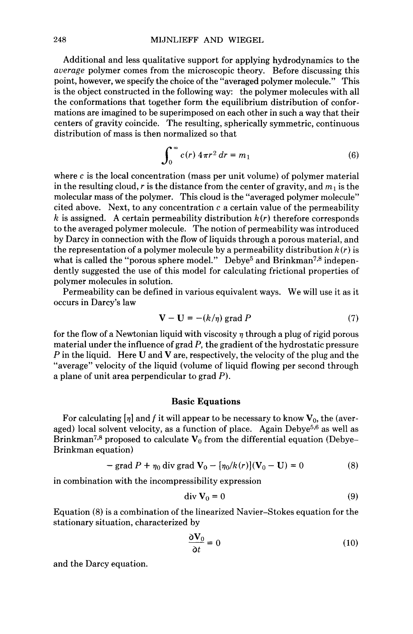Additional and less qualitative support for applying hydrodynamics to the *auerage* polymer comes from the microscopic theory. Before discussing this point, however, we specify the choice of the "averaged polymer molecule." This is the object constructed in the following way: the polymer molecules with all the conformations that together form the equilibrium distribution of conformations are imagined to be superimposed on each other in such a way that their centers of gravity coincide. The resulting, spherically symmetric, continuous distribution of mass is then normalized so that

$$
\int_0^\infty c(r) 4\pi r^2 dr = m_1 \tag{6}
$$

where *c* is the local concentration (mass per unit volume) of polymer material in the resulting cloud,  $r$  is the distance from the center of gravity, and  $m_1$  is the molecular mass of the polymer. This cloud is the "averaged polymer molecule" cited above. Next, to any concentration *c* a certain value of the permeability *k* is assigned. A certain permeability distribution *k (r)* therefore corresponds to the averaged polymer molecule. The notion of permeability was introduced by Darcy in connection with the flow of liquids through a porous material, and the representation of a polymer molecule by a permeability distribution  $k(r)$  is what is called the "porous sphere model." Debye<sup>5</sup> and Brinkman<sup>7,8</sup> independently suggested the use of this model for calculating frictional properties of polymer molecules in solution.

Permeability can be defined in various equivalent ways. We will use it as it occurs in Darcy's law

$$
\mathbf{V} - \mathbf{U} = -(k/\eta) \text{ grad } P \tag{7}
$$

for the flow of a Newtonian liquid with viscosity  $\eta$  through a plug of rigid porous material under the influence of grad *P,* the gradient of the hydrostatic pressure *P* in the liquid. Here **U** and *V* are, respectively, the velocity of the plug and the "average" velocity of the liquid (volume of liquid flowing per second through a plane of unit area perpendicular to grad *P).* 

### **Basic Equations**

For calculating  $\eta$  and f it will appear to be necessary to know  $V_0$ , the (averaged) local solvent velocity, as a function of place. Again Debye<sup>5,6</sup> as well as Brinkman<sup>7,8</sup> proposed to calculate  $V_0$  from the differential equation (Debye-Brinkman equation)

- grad 
$$
P + \eta_0
$$
 div grad  $\mathbf{V}_0 - [\eta_0/k(r)](\mathbf{V}_0 - \mathbf{U}) = 0$  (8)

in combination with the incompressibility expression

$$
\operatorname{div} \mathbf{V}_0 = 0 \tag{9}
$$

Equation (8) is a combination of the linearized Navier-Stokes equation for the stationary situation, characterized by

$$
\frac{\partial \mathbf{V}_0}{\partial t} = 0 \tag{10}
$$

and the Darcy equation.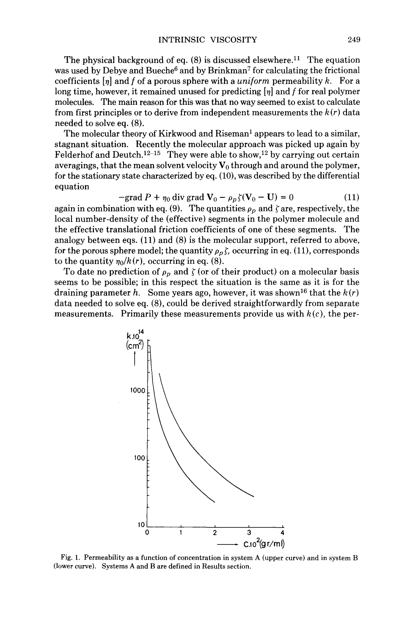The physical background of eq.  $(8)$  is discussed elsewhere.<sup>11</sup> The equation was used by Debye and Bueche<sup>6</sup> and by Brinkman<sup>7</sup> for calculating the frictional coefficients *[q]* and *f* of a porous sphere with a *uniform* permeability *k.* For a long time, however, it remained unused for predicting *[q]* and *f* for real polymer molecules. The main reason for this was that no way seemed to exist to calculate from first principles or to derive from independent measurements the *k(r)* data needed to solve eq. (8).

The molecular theory of Kirkwood and Riseman' appears to lead to a similar, stagnant situation. Recently the molecular approach was picked up again by Felderhof and Deutch.<sup>12-15</sup> They were able to show,<sup>12</sup> by carrying out certain averagings, that the mean solvent velocity  $V_0$  through and around the polymer, for the stationary state characterized by eq.  $(10)$ , was described by the differential equation

$$
-\text{grad } P + \eta_0 \text{ div } \text{grad } \mathbf{V}_0 - \rho_p \zeta(\mathbf{V}_0 - \mathbf{U}) = 0 \tag{11}
$$

again in combination with eq. (9). The quantities  $\rho_p$  and  $\zeta$  are, respectively, the local number-density of the (effective) segments in the polymer molecule and the effective translational friction coefficients of one of these segments. The analogy between eqs. (11) and (8) is the molecular support, referred to above, for the porous sphere model; the quantity  $\rho_p f$ , occurring in eq. (11), corresponds to the quantity  $\eta_0/k(r)$ , occurring in eq. (8).

To date no prediction of  $\rho_p$  and  $\zeta$  (or of their product) on a molecular basis seems to be possible; in this respect the situation is the same as it is for the draining parameter *h.* Some years ago, however, it was shown<sup>16</sup> that the  $k(r)$ data needed to solve eq. (8), could be derived straightforwardly from separate measurements. Primarily these measurements provide us with  $k(c)$ , the per-



**(lower** curve). Systems **A** and **B** are defined in Results section.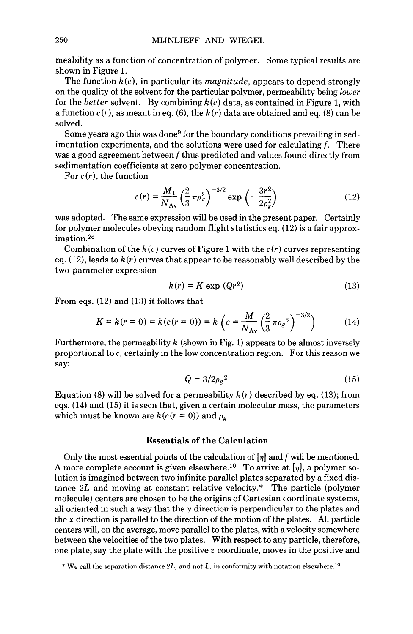meability as a function of concentration of polymer. Some typical results are shown in Figure 1.

The function *k (c),* in particular its *magnitude,* appears to depend strongly on the quality of the solvent for the particular polymer, permeability being *lower*  for the *better* solvent. By combining *h(c)* data, as contained in Figure 1, with a function *c(r),* as meant in eq. **(6),** the *h(r)* data are obtained and eq. (8) can be solved.

Some years ago this was done<sup>9</sup> for the boundary conditions prevailing in sedimentation experiments, and the solutions were used for calculating *f.* There was a good agreement between *f* thus predicted and values found directly from sedimentation coefficients at zero polymer concentration.

For *c(r),* the function

$$
c(r) = \frac{M_1}{N_{\rm Av}} \left(\frac{2}{3} \pi \rho_g^2\right)^{-3/2} \exp\left(-\frac{3r^2}{2\rho_g^2}\right) \tag{12}
$$

was adopted. The same expression will be used in the present paper. Certainly for polymer molecules obeying random flight statistics eq. *(12)* is a fair approximation.2c

Combination of the  $k(c)$  curves of Figure 1 with the  $c(r)$  curves representing eq.  $(12)$ , leads to  $k(r)$  curves that appear to be reasonably well described by the two-parameter expression

$$
k(r) = K \exp (Qr^2)
$$
 (13)

From eqs. (12) and *(13)* it follows that

$$
k(r) = K \exp (Qr^{2})
$$
(13)  
(12) and (13) it follows that  

$$
K = k(r = 0) = k(c(r = 0)) = k \left(c = \frac{M}{N_{Av}} \left(\frac{2}{3} \pi \rho_{g}^{2}\right)^{-3/2}\right)
$$
(14)

Furthermore, the permeability *k* (shown in Fig. 1) appears to be almost inversely proportional to *c,* certainly in the low concentration region. For this reason we say:

$$
Q = 3/2\rho_g^2 \tag{15}
$$

Equation (8) will be solved for a permeability *k(r)* described by eq. *(13);* from eqs. *(14)* and *(15)* it is seen that, given a certain molecular mass, the parameters which must be known are  $k(c(r = 0))$  and  $\rho_g$ .

## **Essentials of the Calculation**

Only the most essential points of the calculation of *[q]* and *f* will be mentioned. A more complete account is given elsewhere.<sup>10</sup> To arrive at  $[\eta]$ , a polymer solution is imagined between two infinite parallel plates separated by a fixed distance *2L* and moving at constant relative velocity.\* The particle (polymer molecule) centers are chosen to be the origins of Cartesian coordinate systems, all oriented in such a way that the  $y$  direction is perpendicular to the plates and the *x* direction is parallel to the direction of the motion of the plates. All particle centers will, on the average, move parallel to the plates, with a velocity somewhere between the velocities of the two plates. With respect to any particle, therefore, one plate, say the plate with the positive *z* coordinate, moves in the positive and

<sup>\*</sup> We call the separation distance *ZL,* and not *L,* in conformity with notation elsewhere.'O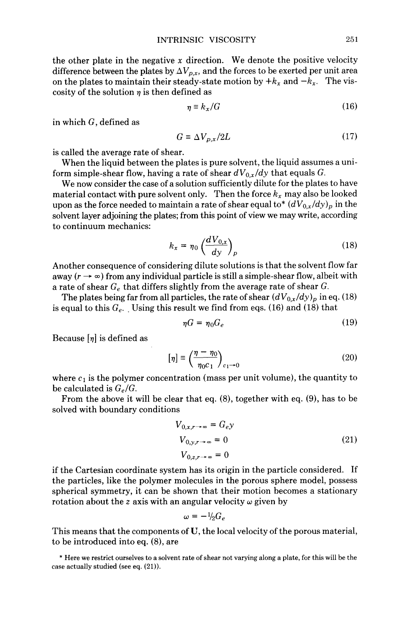the other plate in the negative *x* direction. We denote the positive velocity difference between the plates by  $\Delta V_{p,x}$ , and the forces to be exerted per unit area on the plates to maintain their steady-state motion by  $+k_x$  and  $-k_x$ . The viscosity of the solution  $\eta$  is then defined as

$$
\eta \equiv k_x / G \tag{16}
$$

in which *G,* defined as

$$
G \equiv \Delta V_{p,x}/2L \tag{17}
$$

is called the average rate of shear.

When the liquid between the plates is pure solvent, the liquid assumes a uniform simple-shear flow, having a rate of shear  $dV_{0,x}/dy$  that equals *G*.

We now consider the case of a solution sufficiently dilute for the plates to have material contact with pure solvent only. Then the force  $k_x$  may also be looked upon as the force needed to maintain a rate of shear equal to\*  $(dV_{0,x}/dy)_p$  in the solvent layer adjoining the plates; from this point of view we may write, according to continuum mechanics:

$$
k_x = \eta_0 \left(\frac{dV_{0,x}}{dy}\right)_p \tag{18}
$$

Another consequence of considering dilute solutions is that the solvent flow far away  $(r \rightarrow \infty)$  from any individual particle is still a simple-shear flow, albeit with a rate of shear *G,* that differs slightly from the average rate of shear G.

The plates being far from all particles, the rate of shear  $(dV_{0,x}/dy)_p$  in eq. (18) is equal to this  $G_e$ . Using this result we find from eqs. (16) and (18) that

$$
\eta G = \eta_0 G_e \tag{19}
$$

Because  $[\eta]$  is defined as

$$
[\eta] \equiv \left(\frac{\eta - \eta_0}{\eta_0 c_1}\right)_{c_1 \to 0} \tag{20}
$$

where  $c_1$  is the polymer concentration (mass per unit volume), the quantity to be calculated is  $G_e/G$ .

From the above it will be clear that eq. (8), together with eq. (9), has to be solved with boundary conditions

$$
V_{0,x,r\to\infty} = G_e y
$$
  
\n
$$
V_{0,y,r\to\infty} = 0
$$
  
\n
$$
V_{0,z,r\to\infty} = 0
$$
\n(21)

if the Cartesian coordinate system has its origin in the particle considered. If the particles, like the polymer molecules in the porous sphere model, possess spherical symmetry, it can be shown that their motion becomes a stationary rotation about the *z* axis with an angular velocity  $\omega$  given by

$$
\omega = -\frac{1}{2}G_e
$$

This means that the components of **U,** the local velocity of the porous material, to be introduced into eq. (8), are

\* Here we restrict ourselves to a solvent rate of shear not varying along a plate, for this will be the case actually studied (see eq. (21)).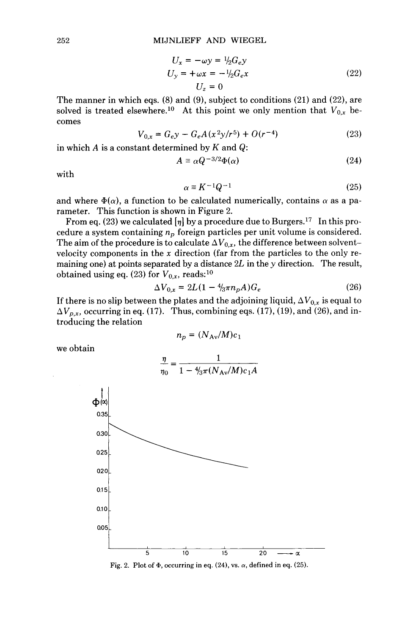$$
U_x = -\omega y = \frac{1}{2} G_e y
$$
  
\n
$$
U_y = +\omega x = -\frac{1}{2} G_e x
$$
  
\n
$$
U_z = 0
$$
\n(22)

The manner in which eqs. (8) and (9), subject to conditions (21) and (22), are solved is treated elsewhere.<sup>10</sup> At this point we only mention that  $V_{0,x}$  becomes

$$
V_{0,x} = G_e y - G_e A (x^2 y / r^5) + O(r^{-4})
$$
\n(23)

in which A is a constant determined by K and  $Q$ :

$$
A \equiv \alpha Q^{-3/2} \Phi(\alpha) \tag{24}
$$

with

$$
\alpha \equiv K^{-1} Q^{-1} \tag{25}
$$

and where  $\Phi(\alpha)$ , a function to be calculated numerically, contains  $\alpha$  as a parameter. This function is shown in Figure 2.

From eq. (23) we calculated  $[\eta]$  by a procedure due to Burgers.<sup>17</sup> In this procedure a system containing  $n_p$  foreign particles per unit volume is considered. The aim of the procedure is to calculate  $\Delta V_{0,x}$ , the difference between solventvelocity components in the **x** direction (far from the particles to the only remaining one) at points separated by a distance  $2L$  in the y direction. The result, obtained using eq. (23) for  $V_{0,x}$ , reads:<sup>10</sup>

or 
$$
v_{0,x}
$$
, reads.  
\n
$$
\Delta V_{0,x} = 2L(1 - 4/3\pi n_p A)G_e
$$
\n(26)

If there is no slip between the plates and the adjoining liquid,  $\Delta V_{0,x}$  is equal to  $\Delta V_{p,x}$ , occurring in eq. (17). Thus, combining eqs. (17), (19), and (26), and introducing the relation

$$
n_p = (N_{\rm Av}/M)c_1
$$

we obtain

$$
\frac{\eta}{\eta_0} = \frac{1}{1 - \frac{4}{3}\pi (N_{\rm Av}/M)c_1A}
$$



**Fig. 2. Plot of**  $\Phi$ **, occurring in eq. (24), vs.**  $\alpha$ **, defined in eq. (25).**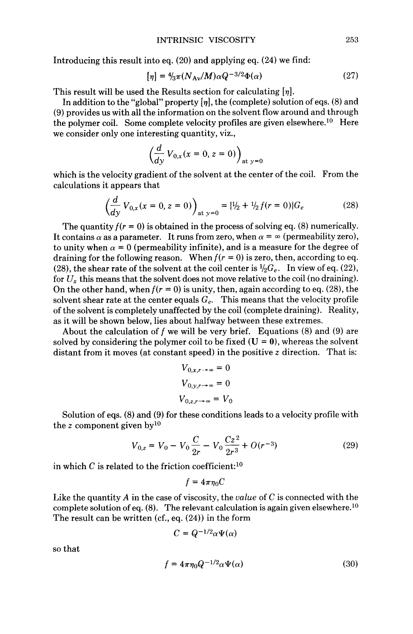Introducing this result into eq. (20) and applying eq. *(24)* we find:

$$
[\eta] = \frac{4}{3}\pi (N_{\text{Av}}/M)\alpha Q^{-3/2}\Phi(\alpha) \tag{27}
$$

This result will be used the Results section for calculating  $[\eta]$ .

In addition to the "global" property  $[\eta]$ , the (complete) solution of eqs. (8) and *(9)* provides us with all the information on the solvent flow around and through the polymer coil. Some complete velocity profiles are given elsewhere.<sup>10</sup> Here we consider only one interesting quantity, viz.,

$$
\left(\frac{d}{dy}V_{0,x}(x=0,z=0)\right)_{\text{at }y=0}
$$

which is the velocity gradient of the solvent at the center of the coil. From the calculations it appears that

$$
\left(\frac{d}{dy}V_{0,x}(x=0,z=0)\right)_{\text{at }y=0} = \frac{1}{2} + \frac{1}{2}f(r=0)\}G_e\tag{28}
$$

The quantity  $f(r = 0)$  is obtained in the process of solving eq. (8) numerically. It contains  $\alpha$  as a parameter. It runs from zero, when  $\alpha = \infty$  (permeability zero), to unity when  $\alpha = 0$  (permeability infinite), and is a measure for the degree of draining for the following reason. When  $f(r = 0)$  is zero, then, according to eq. (28), the shear rate of the solvent at the coil center is  $\frac{1}{2}G_e$ . In view of eq. (22), for  $U_x$  this means that the solvent does not move relative to the coil (no draining). On the other hand, when  $f(r = 0)$  is unity, then, again according to eq. (28), the solvent shear rate at the center equals  $G_e$ . This means that the velocity profile of the solvent is completely unaffected by the coil (complete draining). Reality, as it will be shown below, lies about halfway between these extremes.

About the calculation of f we will be very brief. Equations  $(8)$  and  $(9)$  are solved by considering the polymer coil to be fixed  $(U = 0)$ , whereas the solvent distant from it moves (at constant speed) in the positive *z* direction. That is:

$$
V_{0,x,r\to\infty} = 0
$$
  

$$
V_{0,y,r\to\infty} = 0
$$
  

$$
V_{0,z,r\to\infty} = V_0
$$

Solution of eqs. (8) and (9) for these conditions leads to a velocity profile with  $V_{0,z} = V_0 - V_0 \frac{C}{2r} - V_0 \frac{Cz^2}{2r^3} + O(r^{-3})$  (29) the *z* component given bylo

$$
V_{0,z} = V_0 - V_0 \frac{C}{2r} - V_0 \frac{Cz^2}{2r^3} + O(r^{-3})
$$
 (29)

in which  $C$  is related to the friction coefficient:<sup>10</sup>

$$
f=4\pi\eta_0C
$$

Like the quantity *A* in the case of viscosity, the *value* of *C* is connected with the complete solution of eq.  $(8)$ . The relevant calculation is again given elsewhere.<sup>10</sup> The result can be written (cf., eq. *(24))* in the form

$$
C = Q^{-1/2} \alpha \Psi(\alpha)
$$

so that

$$
f = 4\pi \eta_0 Q^{-1/2} \alpha \Psi(\alpha) \tag{30}
$$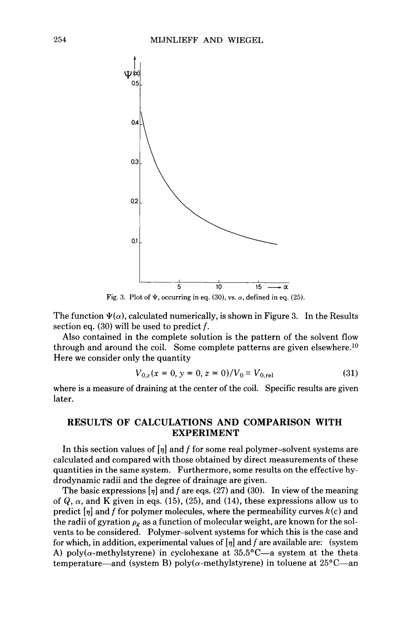

**Fig. 3.** Plot of  $\Psi$ , occurring in eq. (30), vs.  $\alpha$ , defined in eq. (25).

The function  $\Psi(\alpha)$ , calculated numerically, is shown in Figure 3. In the Results section eq. **(30)** will be used to predict *f.* 

Also contained in the complete solution is the pattern of the solvent flow through and around the coil. Some complete patterns are given elsewhere.<sup>10</sup> Here we consider only the quantity

$$
V_{0,z}(x=0, y=0, z=0)/V_0 \equiv V_{0,rel}
$$
 (31)

where is a measure of draining at the center of the coil. Specific results are given later.

# **RESULTS OF CALCULATIONS AND COMPARISON WITH EXPERIMENT**

In this section values of  $\eta$  and *f* for some real polymer-solvent systems are calculated and compared with those obtained by direct measurements of these quantities in the same system. Furthermore, some results on the effective hydrodynamic radii and the degree of drainage are given.

The basic expressions  $[\eta]$  and *f* are eqs. (27) and (30). In view of the meaning of  $Q$ ,  $\alpha$ , and K given in eqs. (15), (25), and (14), these expressions allow us to predict *[q]* and *f* for polymer molecules, where the permeability curves *k (c)* and the radii of gyration  $\rho_g$  as a function of molecular weight, are known for the solvents to be considered. Polymer-solvent systems for which this is the case and for which, in addition, experimental values of  $[\eta]$  and f are available are: (system A) poly( $\alpha$ -methylstyrene) in cyclohexane at 35.5°C—a system at the theta temperature—and (system B) poly( $\alpha$ -methylstyrene) in toluene at 25°C—an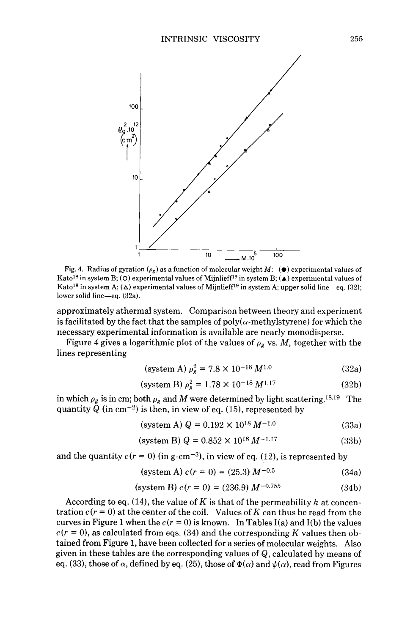

Fig. 4. Radius of gyration  $(\rho_g)$  as a function of molecular weight *M*:  $(\bullet)$  experimental values of Kato<sup>18</sup> in system B; (O) experimental values of Mijnlieff<sup>19</sup> in system B; (A) experimental values of Kato<sup>18</sup> in system A;  $(\Delta)$  experimental values of Mijnlieff<sup>19</sup> in system A; upper solid line-eq. (32); lower solid line-eq. (32a).

approximately athermal system. Comparison between theory and experiment is facilitated by the fact that the samples of  $poly(\alpha$ -methylstyrene) for which the necessary experimental information is available are nearly monodisperse.

Figure 4 gives a logarithmic plot of the values of  $\rho_g$  vs. *M*, together with the lines representing

$$
\text{(system A) } \rho_g^2 = 7.8 \times 10^{-18} \, M^{1.0} \tag{32a}
$$

$$
\text{(system B) } \rho_g^2 = 1.78 \times 10^{-18} \, M^{1.17} \tag{32b}
$$

in which  $\rho_g$  is in cm; both  $\rho_g$  and *M* were determined by light scattering.<sup>18,19</sup> The quantity Q (in  $cm^{-2}$ ) is then, in view of eq. (15), represented by

$$
(system A) Q = 0.192 \times 10^{18} M^{-1.0}
$$
 (33a)

$$
\text{(system B)}\ Q = 0.852 \times 10^{18} \, \text{M}^{-1.17} \tag{33b}
$$

and the quantity  $c(r = 0)$  (in g-cm<sup>-3</sup>), in view of eq. (12), is represented by

$$
(system A) c(r = 0) = (25.3) M^{-0.5}
$$
 (34a)

$$
(system B) c(r = 0) = (236.9) M^{-0.755}
$$
 (34b)

According to eq. (14), the value of  $K$  is that of the permeability  $k$  at concentration  $c(r = 0)$  at the center of the coil. Values of K can thus be read from the curves in Figure 1 when the  $c(r = 0)$  is known. In Tables I(a) and I(b) the values  $c(r = 0)$ , as calculated from eqs. (34) and the corresponding *K* values then obtained from Figure 1, have been collected for a series of molecular weights. Also given in these tables are the corresponding values of Q, calculated by means of eq. (33), those of  $\alpha$ , defined by eq. (25), those of  $\Phi(\alpha)$  and  $\psi(\alpha)$ , read from Figures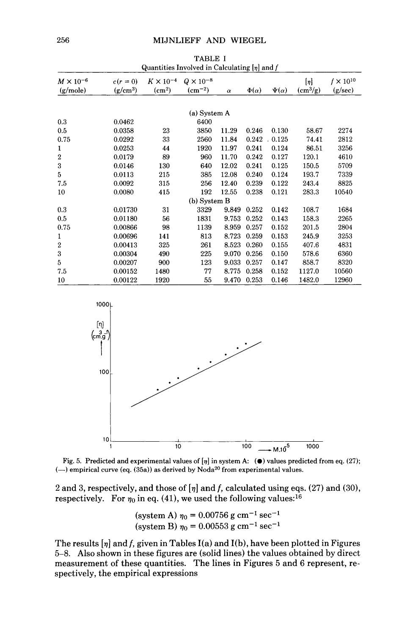## **256 MIJNLIEFF AND WIEGEL**

| Quantities involved in Calculating [7] and J |                        |                                          |                                |          |                |                |                                  |                               |  |
|----------------------------------------------|------------------------|------------------------------------------|--------------------------------|----------|----------------|----------------|----------------------------------|-------------------------------|--|
| $M \times 10^{-6}$<br>(g/mole)               | $c(r=0)$<br>$(g/cm^3)$ | $K \times 10^{-4}$<br>(cm <sup>2</sup> ) | $Q \times 10^{-8}$<br>$(cm-2)$ | $\alpha$ | $\Phi(\alpha)$ | $\Psi(\alpha)$ | $[\eta]$<br>(cm <sup>3</sup> /g) | $f \times 10^{10}$<br>(g/sec) |  |
|                                              |                        |                                          |                                |          |                |                |                                  |                               |  |
|                                              |                        |                                          | (a) System A                   |          |                |                |                                  |                               |  |
| 0.3                                          | 0.0462                 |                                          | 6400                           |          |                |                |                                  |                               |  |
| 0.5                                          | 0.0358                 | 23                                       | 3850                           | 11.29    | 0.246          | 0.130          | 58.67                            | 2274                          |  |
| 0.75                                         | 0.0292                 | 33                                       | 2560                           | 11.84    | 0.242          | 0.125          | 74.41                            | 2812                          |  |
| 1                                            | 0.0253                 | 44                                       | 1920                           | 11.97    | 0.241          | 0.124          | 86.51                            | 3256                          |  |
| $\boldsymbol{2}$                             | 0.0179                 | 89                                       | 960                            | 11.70    | 0.242          | 0.127          | 120.1                            | 4610                          |  |
| 3                                            | 0.0146                 | 130                                      | 640                            | 12.02    | 0.241          | 0.125          | 150.5                            | 5709                          |  |
| 5                                            | 0.0113                 | 215                                      | 385                            | 12.08    | 0.240          | 0.124          | 193.7                            | 7339                          |  |
| 7.5                                          | 0.0092                 | 315                                      | 256                            | 12.40    | 0.239          | 0.122          | 243.4                            | 8825                          |  |
| 10                                           | 0.0080                 | 415                                      | 192                            | 12.55    | 0.238          | 0.121          | 283.3                            | 10540                         |  |
| $(b)$ System B                               |                        |                                          |                                |          |                |                |                                  |                               |  |
| 0.3                                          | 0.01730                | 31                                       | 3329                           | 9.849    | 0.252          | 0.142          | 108.7                            | 1684                          |  |
| 0.5                                          | 0.01180                | 56                                       | 1831                           | 9.753    | 0.252          | 0.143          | 158.3                            | 2265                          |  |
| 0.75                                         | 0.00866                | 98                                       | 1139                           | 8.959    | 0.257          | 0.152          | 201.5                            | 2804                          |  |
| 1                                            | 0.00696                | 141                                      | 813                            | 8.723    | 0.259          | 0.153          | 245.9                            | 3253                          |  |
| $\boldsymbol{2}$                             | 0.00413                | 325                                      | 261                            | 8.523    | 0.260          | 0.155          | 407.6                            | 4831                          |  |
| 3                                            | 0.00304                | 490                                      | 225                            | 9.070    | 0.256          | 0.150          | 578.6                            | 6360                          |  |
| 5                                            | 0.00207                | 900                                      | 123                            | 9.033    | 0.257          | 0.147          | 858.7                            | 8320                          |  |
| 7.5                                          | 0.00152                | 1480                                     | 77                             | 8.775    | 0.258          | 0.152          | 1127.0                           | 10560                         |  |
| 10                                           | 0.00122                | 1920                                     | 55                             | 9.470    | 0.253          | 0.146          | 1482.0                           | 12960                         |  |

**TABLE** I **Quantities Involved in Calculating** [s] **and** *f* 





2 and *3,* respectively, and those of *[v]* and *f,* calculated using eqs. (27) and **(30),**  respectively. For  $\eta_0$  in eq. (41), we used the following values:<sup>16</sup>

> (system A)  $\eta_0 = 0.00756$  g cm<sup>-1</sup> sec<sup>-1</sup> (system B)  $\eta_0 = 0.00553$  g cm<sup>-1</sup> sec<sup>-1</sup>

The results  $[\eta]$  and f, given in Tables I(a) and I(b), have been plotted in Figures 5-8. Also shown in these figures are (solid lines) the values obtained by direct measurement of these quantities. The lines in Figures 5 and 6 represent, respectively, the empirical expressions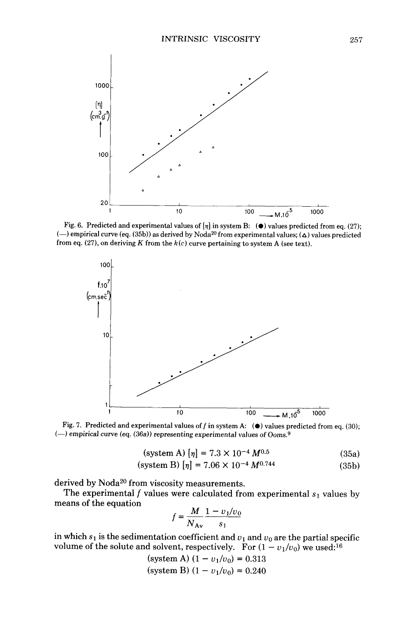

Fig. 6. Predicted and experimental values of *[9]* in system B: *(0)* values predicted from eq. (27); (-) empirical curve (eq. (35b)) as derived by Noda<sup>20</sup> from experimental values; ( $\Delta$ ) values predicted from eq. (27), on deriving K from the  $k(c)$  curve pertaining to system A (see text).



Fig. 7. Predicted and experimental values of f in system A:  $\left(\bullet\right)$  values predicted from eq. (30); (-1 empirical curve (eq. (36a)) representing experimental values of **Ooms.9** 

$$
(system A) [\eta] = 7.3 \times 10^{-4} M^{0.5}
$$
 (35a)

$$
\text{(system B)} \left[ \eta \right] = 7.06 \times 10^{-4} \, M^{0.744} \tag{35b}
$$

derived by Noda<sup>20</sup> from viscosity measurements.

means **of** the equation The experimental  $f$  values were calculated from experimental  $s_1$  values by  $f = \frac{M}{1 - v_1/v_0}$ 

$$
f = \frac{M}{N_{\text{Av}}} \frac{1 - v_1/v_1}{s_1}
$$

in which  $s_1$  is the sedimentation coefficient and  $v_1$  and  $v_0$  are the partial specific in which  $s_1$  is the sedimentation coefficient and  $v_1$  and  $v_0$  are the partial spectively. For  $(1 - v_1/v_0)$  we used:<sup>16</sup>

and solvent, respectively. For (1  
(system A) 
$$
(1 - v_1/v_0) = 0.313
$$
  
(system B)  $(1 - v_1/v_0) = 0.240$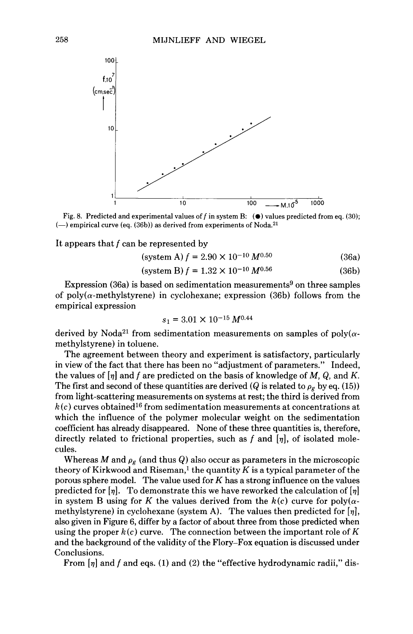

Fig. 8. Predicted and experimental values off in system B: *(0)* values predicted from eq. **(30);**  (-) empirical curve (eq. (36b)) as derived from experiments of Noda.<sup>21</sup>

It appears that *f* can be represented by

 $(system A) f = 2.90 \times 10^{-10} M^{0.50}$  (36a)

$$
(system B) f = 1.32 \times 10^{-10} M^{0.56}
$$
 (36b)

Expression  $(36a)$  is based on sedimentation measurements<sup>9</sup> on three samples of poly( $\alpha$ -methylstyrene) in cyclohexane; expression (36b) follows from the empirical expression

$$
s_1 = 3.01 \times 10^{-15} \, M^{0.44}
$$

derived by Noda<sup>21</sup> from sedimentation measurements on samples of poly( $\alpha$ methylstyrene) in toluene.

The agreement between theory and experiment is satisfactory, particularly in view of the fact that there has been no "adjustment of parameters." Indeed, the values of  $\eta$  and f are predicted on the basis of knowledge of M, Q, and K. The first and second of these quantities are derived (Q is related to  $\rho_g$  by eq. (15)) from light-scattering measurements on systems at rest; the third is derived from  $h(c)$  curves obtained<sup>16</sup> from sedimentation measurements at concentrations at which the influence of the polymer molecular weight on the sedimentation coefficient has already disappeared, None of these three quantities is, therefore, directly related to frictional properties, such as *f* and *[q],* of isolated molecules.

Whereas *M* and  $\rho_g$  (and thus Q) also occur as parameters in the microscopic theory of Kirkwood and Riseman,<sup>1</sup> the quantity  $K$  is a typical parameter of the porous sphere model. The value used for *K* has a strong influence on the values predicted for  $[\eta]$ . To demonstrate this we have reworked the calculation of  $[\eta]$ in system B using for K the values derived from the  $k(c)$  curve for poly( $\alpha$ methylstyrene) in cyclohexane (system **A).** The values then predicted for *[q],*  also given in Figure 6, differ by a factor of about three from those predicted when using the proper  $k(c)$  curve. The connection between the important role of  $K$ and the background of the validity of the Flory-Fox equation is discussed under Conclusions.

From  $[\eta]$  and *f* and eqs. (1) and (2) the "effective hydrodynamic radii," dis-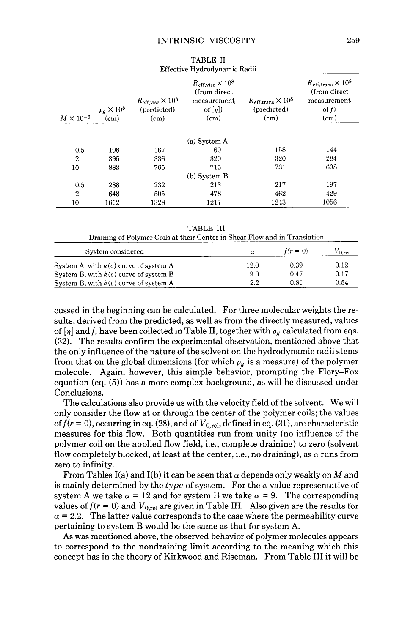| Effective Hydrodynamic Radii |                              |                                                          |                                                                                          |                                                                        |                                                                                        |  |  |
|------------------------------|------------------------------|----------------------------------------------------------|------------------------------------------------------------------------------------------|------------------------------------------------------------------------|----------------------------------------------------------------------------------------|--|--|
| $M \times 10^{-6}$           | $\rho_g \times 10^8$<br>(cm) | $R_{\text{eff,visc}} \times 10^8$<br>(predicted)<br>(cm) | $R_{\text{eff,visc}} \times 10^8$<br>(from direct)<br>measurement<br>of $[\eta]$<br>(cm) | $R_{\text{eff,trans}} \times 10^8$<br>(predicted)<br>(c <sub>m</sub> ) | $R_{\text{eff,trans}} \times 10^8$<br>(from direct)<br>measurement<br>of $f$ )<br>(cm) |  |  |
|                              |                              |                                                          |                                                                                          |                                                                        |                                                                                        |  |  |
|                              |                              |                                                          | (a) System A                                                                             |                                                                        |                                                                                        |  |  |
| 0.5                          | 198                          | 167                                                      | 160                                                                                      | 158                                                                    | 144                                                                                    |  |  |
| $\overline{2}$               | 395                          | 336                                                      | 320                                                                                      | 320                                                                    | 284                                                                                    |  |  |
| 10                           | 883                          | 765                                                      | 715                                                                                      | 731                                                                    | 638                                                                                    |  |  |
|                              |                              |                                                          | (b) System B                                                                             |                                                                        |                                                                                        |  |  |
| 0.5                          | 288                          | 232                                                      | 213                                                                                      | 217                                                                    | 197                                                                                    |  |  |
| 2                            | 648                          | 505                                                      | 478                                                                                      | 462                                                                    | 429                                                                                    |  |  |
| $^{10}$                      | 1612                         | 1328                                                     | 1217                                                                                     | 1243                                                                   | 1056                                                                                   |  |  |

TABLE **I1** 

TABLE 111

| Draining of Polymer Coils at their Center in Shear Flow and in Translation |          |            |             |  |  |  |
|----------------------------------------------------------------------------|----------|------------|-------------|--|--|--|
| System considered                                                          | $\alpha$ | $f(r = 0)$ | $V_{0,rel}$ |  |  |  |
| System A, with $k(c)$ curve of system A                                    | 12.0     | 0.39       | 0.12        |  |  |  |
| System B, with $k(c)$ curve of system B                                    | 9.0      | 0.47       | 0.17        |  |  |  |
| System B, with $k(c)$ curve of system A                                    | 2.2      | 0.81       | 0.54        |  |  |  |

cussed in the beginning can be calculated. For three molecular weights the results, derived from the predicted, as well as from the directly measured, values of  $[\eta]$  and f, have been collected in Table II, together with  $\rho_{\epsilon}$  calculated from eqs. (32). The results confirm the experimental observation, mentioned above that the only influence of the nature of the solvent on the hydrodynamic radii stems from that on the global dimensions (for which  $\rho_g$  is a measure) of the polymer molecule. Again, however, this simple behavior, prompting the Flory-Fox equation (eq. (5)) has a more complex background, as will be discussed under Conclusions.

The calculations also provide us with the velocity field of the solvent. We will only consider the flow at or through the center of the polymer coils; the values of  $f(r = 0)$ , occurring in eq. (28), and of  $V_{0,rel}$ , defined in eq. (31), are characteristic measures for this flow. Both quantities run from unity (no influence of the polymer coil on the applied flow field, i.e., complete draining) to zero (solvent flow completely blocked, at least at the center, i.e., no draining), as  $\alpha$  runs from zero to infinity.

From Tables I(a) and I(b) it can be seen that  $\alpha$  depends only weakly on M and is mainly determined by the *type* of system. For the  $\alpha$  value representative of system A we take  $\alpha = 12$  and for system B we take  $\alpha = 9$ . The corresponding values of  $f(r = 0)$  and  $V_{0,rel}$  are given in Table III. Also given are the results for  $\alpha$  = 2.2. The latter value corresponds to the case where the permeability curve pertaining to system B would be the same as that for system **A.** 

As was mentioned above, the observed behavior of polymer molecules appears to correspond to the nondraining limit according to the meaning which this concept has in the theory of Kirkwood and Riseman. From Table I11 it will be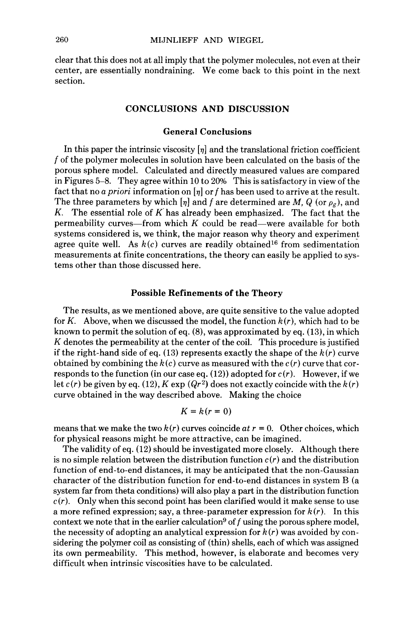clear that this does not at all imply that the polymer molecules, not even at their center, are essentially nondraining. We come back to this point in the next section.

## **CONCLUSIONS AND DISCUSSION**

## **General Conclusions**

In this paper the intrinsic viscosity  $[\eta]$  and the translational friction coefficient *f* of the polymer molecules in solution have been calculated on the basis of the porous sphere model. Calculated and directly measured values are compared in Figures 5-8. They agree within 10 to 20% This is satisfactory in view of the fact that no a *priori* information on *[v]* or *f* has been used to arrive at the result. The three parameters by which  $[\eta]$  and f are determined are M, Q (or  $\rho_g$ ), and *K.* The essential role of  $K$  has already been emphasized. The fact that the permeability curves—from which  $K$  could be read—were available for both systems considered is, we think, the major reason why theory and experiment agree quite well. As  $k(c)$  curves are readily obtained<sup>16</sup> from sedimentation measurements at finite concentrations, the theory can easily be applied to systems other than those discussed here.

### **Possible Refinements of the Theory**

The results, as we mentioned above, are quite sensitive to the value adopted for K. Above, when we discussed the model, the function *k (r),* which had to be known to permit the solution of eq. *(8),* was approximated by eq. (13), in which *K* denotes the permeability at the center of the coil. This procedure is justified if the right-hand side of eq.  $(13)$  represents exactly the shape of the  $k(r)$  curve obtained by combining the  $k(c)$  curve as measured with the  $c(r)$  curve that corresponds to the function (in our case eq.  $(12)$ ) adopted for  $c(r)$ . However, if we let  $c(r)$  be given by eq. (12), K exp  $(Qr^2)$  does not exactly coincide with the  $k(r)$ curve obtained in the way described above. Making the choice

$$
K=k(r=0)
$$

means that we make the two  $k(r)$  curves coincide  $at r = 0$ . Other choices, which for physical reasons might be more attractive, can be imagined.

The validity of eq. (12) should be investigated more closely. Although there is no simple relation between the distribution function *c(r)* and the distribution function of end-to-end distances, it may be anticipated that the non-Gaussian character of the distribution function for end-to-end distances in system B (a system far from theta conditions) will also play a part in the distribution function  $c(r)$ . Only when this second point has been clarified would it make sense to use a more refined expression; say, a three-parameter expression for  $k(r)$ . In this context we note that in the earlier calculation<sup>9</sup> of f using the porous sphere model, the necessity of adopting an analytical expression for  $k(r)$  was avoided by considering the polymer coil **as** consisting of (thin) shells, each of which was assigned its own permeability. This method, however, is elaborate and becomes very difficult when intrinsic viscosities have to be calculated.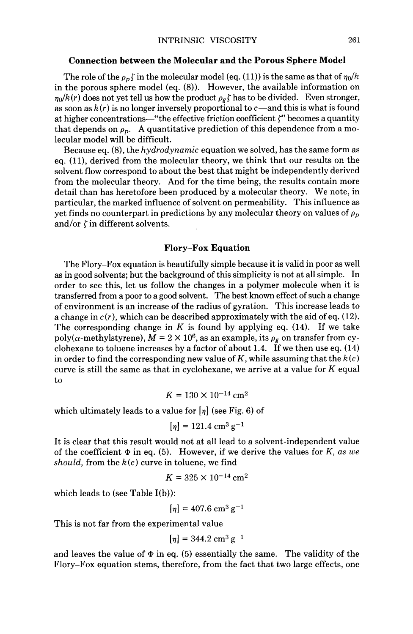#### **Connection between the Molecular and the Porous Sphere Model**

The role of the  $\rho_p f$  in the molecular model (eq. (11)) is the same as that of  $\eta_0/k$ in the porous sphere model (eq. (8)). However, the available information on  $\eta_0/k(r)$  does not yet tell us how the product  $\rho_g \zeta$  has to be divided. Even stronger, as soon as  $k(r)$  is no longer inversely proportional to  $c$ —and this is what is found at higher concentrations-"the effective friction coefficient  $\zeta$ " becomes a quantity that depends on  $\rho_p$ . A quantitative prediction of this dependence from a molecular model will be difficult.

Because eq. (S), the *hydrodynamic* equation we solved, has the same form as eq. (ll), derived from the molecular theory, we think that our results on the solvent flow correspond to about the best that might be independently derived from the molecular theory. And for the time being, the results contain more detail than has heretofore been produced by a molecular theory. We note, in particular, the marked influence of solvent on permeability. This influence as yet finds no counterpart in predictions by any molecular theory on values of  $\rho_p$ and/or  $\zeta$  in different solvents.

## **Flory-Fox Equation**

The Flory-Fox equation is beautifully simple because it is valid in poor as well as in good solvents; but the background of this simplicity is not at all simple. In order to see this, let us follow the changes in a polymer molecule when it is transferred from a poor to a good solvent. The best known effect of such a change of environment is an increase of the radius of gyration. This increase leads to a change in  $c(r)$ , which can be described approximately with the aid of eq.  $(12)$ . The corresponding change in  $K$  is found by applying eq.  $(14)$ . If we take poly( $\alpha$ -methylstyrene),  $M = 2 \times 10^6$ , as an example, its  $\rho_g$  on transfer from cyclohexane to toluene increases by a factor of about 1.4. If we then use eq. (14) in order to find the corresponding new value of  $K$ , while assuming that the  $k(c)$ curve is still the same as that in cyclohexane, we arrive at a value for *K* equal to

$$
K = 130 \times 10^{-14} \text{ cm}^2
$$

which ultimately leads to a value for  $[\eta]$  (see Fig. 6) of

$$
[\eta] = 121.4 \text{ cm}^3 \text{ g}^{-1}
$$

It is clear that this result would not at all lead to a solvent-independent value of the coefficient  $\Phi$  in eq. (5). However, if we derive the values for *K*, *as we should,* from the *k(c)* curve in toluene, we find

$$
K = 325 \times 10^{-14} \,\mathrm{cm}^2
$$

which leads to (see Table I(b)):

$$
[\eta] = 407.6 \text{ cm}^3 \text{ g}^{-1}
$$

This is not far from the experimental value

$$
[\eta] = 344.2 \text{ cm}^3 \text{ g}^{-1}
$$

and leaves the value of  $\Phi$  in eq. (5) essentially the same. The validity of the Flory-Fox equation stems, therefore, from the fact that two large effects, one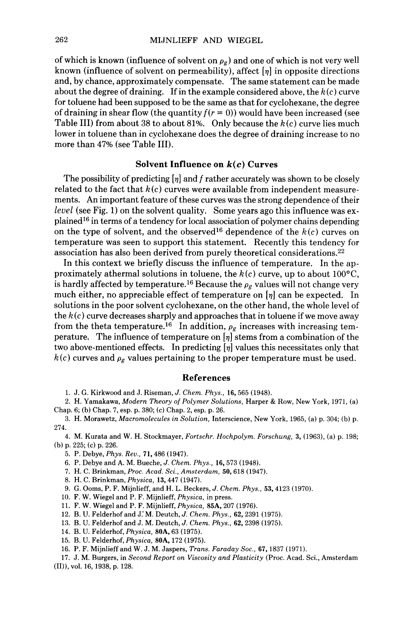of which is known (influence of solvent on  $\rho_g$ ) and one of which is not very well known (influence of solvent on permeability), affect *[17]* in opposite directions and, by chance, approximately compensate. The same statement can be made about the degree of draining. If in the example considered above, the *k(c)* curve for toluene had been supposed to be the same as that for cyclohexane, the degree of draining in shear flow (the quantity  $f(r = 0)$ ) would have been increased (see Table 111) from about 38 to about 81%. Only because the *k(c)* curve lies much lower in toluene than in cyclohexane does the degree of draining increase to no more than 47% (see Table 111).

## **Solvent Influence on** *k(* **c) Curves**

The possibility of predicting *[17]* and *f* rather accurately was shown to be closely related to the fact that  $k(c)$  curves were available from independent measurements. An important feature of these curves was the strong dependence of their *level* (see Fig. 1) on the solvent quality. Some years ago this influence was explained16 in terms of a tendency for local association of polymer chains depending on the type of solvent, and the observed<sup>16</sup> dependence of the  $k(c)$  curves on temperature was seen to support this statement. Recently this tendency for association has also been derived from purely theoretical considerations.22

In this context we briefly discuss the influence of temperature. In the approximately athermal solutions in toluene, the  $k(c)$  curve, up to about 100 $\rm ^{o}C$ , is hardly affected by temperature.<sup>16</sup> Because the  $\rho_g$  values will not change very much either, no appreciable effect of temperature on  $\left[\eta\right]$  can be expected. In solutions in the poor solvent cyclohexane, on the other hand, the whole level of the *k* (c) curve decreases sharply and approaches that in toluene if we move away from the theta temperature.<sup>16</sup> In addition,  $\rho_g$  increases with increasing temperature. The influence of temperature on *[17]* stems from a combination of the two above-mentioned effects. In predicting  $[\eta]$  values this necessitates only that  $h(c)$  curves and  $\rho_g$  values pertaining to the proper temperature must be used.

# **References**

1. J. G. Kirkwood and J. Riseman, *J.* Chem. Phys., 16,565 (1948).

2. H. Yamakawa, Modern Theory *of* Polymer Solutions, Harper & Row, New York, 1971, (a) Chap. 6; (h) Chap. 7, esp. p. 380; (c) Chap. 2, esp. p. 26.

3. H. Morawetz, Macromolecules in Solution, Interscience, New York, 1965, (a) p. 304; (b) p. 274.

4. M. Kurata and W. H. Stockmayer, Fortschr. Hochpolym. Forschung, 3, (1963), (a) p. 198; (b) p. 225; (c) p. 226.

5. P. Dehye, Phys. Reu., 71,486 (1947).

6. P. Debye and A. **M.** Bueche, *J. Chem.* Phys., 16,573 (1948).

7. H. C. Brinkman, *Proc.* Acad. *Sci.,* Amsterdam, 50,618 (1947).

8. H. C. Brinkman, Physica, 13,447 (1947).

9. G. Ooms, P. F. Mijnlieff, and H. L. Beckers, *J.* Chem. Phys., 53,4123 (1970).

- 10. F. W. Wiegel and P. F. Mijnlieff, Physica, in press.
- 11. F. W. Wiegel and P. F. Mijnlieff, Physica, **85A,** 207 (1976).
- 12. B. **U.** Felderhof and J:M. Deutch, *J. Chem.* Phys., 62,2391 (1975).
- 13. B. U. Felderhof and J. M. Deutch, *J.* Chem. Phys., 62,2398 (1975).
- 14. B. U. Felderhof, Physica, **SOA,** 63 (1975).
- 15. B. U. Felderhof, Physica, **SOA,** 172 (1975).
- 16. **P.** F. Mijnlieff and W. J. M. Jaspers, Trans. Faraday *Soc.,* 67,1837 (1971).

17. J. M. Burgers, in Second Report on Viscosity and Plasticity (Proc. Acad. Sci., Amsterdam (II)), **vol.** 16, 1938, p. 128.